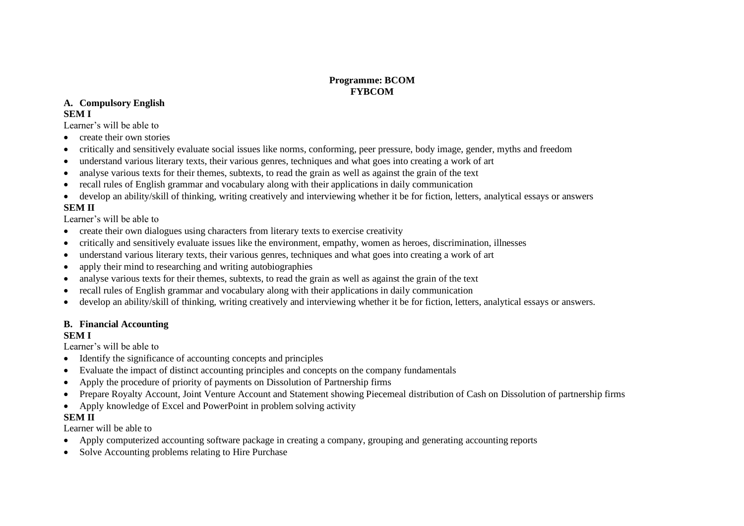#### **Programme: BCOM FYBCOM**

#### **A. Compulsory English SEM I**

Learner's will be able to

- create their own stories
- critically and sensitively evaluate social issues like norms, conforming, peer pressure, body image, gender, myths and freedom
- understand various literary texts, their various genres, techniques and what goes into creating a work of art
- analyse various texts for their themes, subtexts, to read the grain as well as against the grain of the text
- recall rules of English grammar and vocabulary along with their applications in daily communication
- develop an ability/skill of thinking, writing creatively and interviewing whether it be for fiction, letters, analytical essays or answers

#### **SEM II**

Learner's will be able to

- create their own dialogues using characters from literary texts to exercise creativity
- critically and sensitively evaluate issues like the environment, empathy, women as heroes, discrimination, illnesses
- understand various literary texts, their various genres, techniques and what goes into creating a work of art
- apply their mind to researching and writing autobiographies
- analyse various texts for their themes, subtexts, to read the grain as well as against the grain of the text
- recall rules of English grammar and vocabulary along with their applications in daily communication
- develop an ability/skill of thinking, writing creatively and interviewing whether it be for fiction, letters, analytical essays or answers.

## **B. Financial Accounting**

#### **SEM I**

Learner's will be able to

- Identify the significance of accounting concepts and principles
- Evaluate the impact of distinct accounting principles and concepts on the company fundamentals
- Apply the procedure of priority of payments on Dissolution of Partnership firms
- Prepare Royalty Account, Joint Venture Account and Statement showing Piecemeal distribution of Cash on Dissolution of partnership firms
- Apply knowledge of Excel and PowerPoint in problem solving activity

### **SEM II**

- Apply computerized accounting software package in creating a company, grouping and generating accounting reports
- Solve Accounting problems relating to Hire Purchase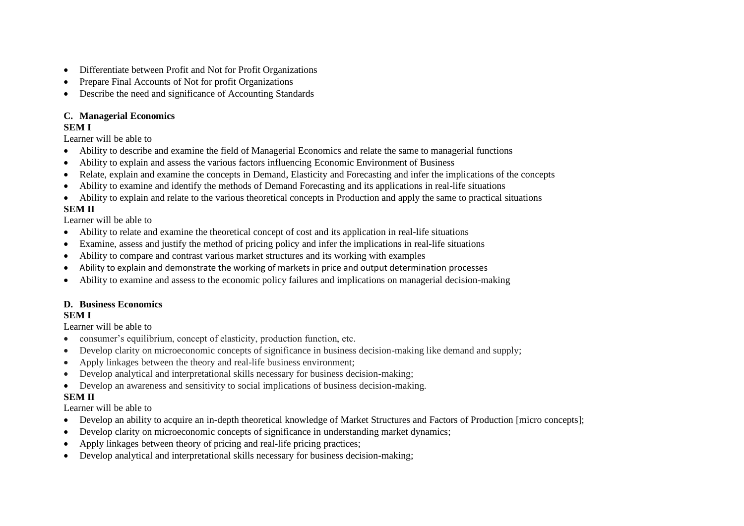- Differentiate between Profit and Not for Profit Organizations
- Prepare Final Accounts of Not for profit Organizations
- Describe the need and significance of Accounting Standards

#### **C. Managerial Economics**

#### **SEM I**

Learner will be able to

- Ability to describe and examine the field of Managerial Economics and relate the same to managerial functions
- Ability to explain and assess the various factors influencing Economic Environment of Business
- Relate, explain and examine the concepts in Demand, Elasticity and Forecasting and infer the implications of the concepts
- Ability to examine and identify the methods of Demand Forecasting and its applications in real-life situations
- Ability to explain and relate to the various theoretical concepts in Production and apply the same to practical situations

#### **SEM II**

Learner will be able to

- Ability to relate and examine the theoretical concept of cost and its application in real-life situations
- Examine, assess and justify the method of pricing policy and infer the implications in real-life situations
- Ability to compare and contrast various market structures and its working with examples
- Ability to explain and demonstrate the working of markets in price and output determination processes
- Ability to examine and assess to the economic policy failures and implications on managerial decision-making

## **D. Business Economics**

#### **SEM I**

Learner will be able to

- consumer's equilibrium, concept of elasticity, production function, etc.
- Develop clarity on microeconomic concepts of significance in business decision-making like demand and supply;
- Apply linkages between the theory and real-life business environment;
- Develop analytical and interpretational skills necessary for business decision-making;
- Develop an awareness and sensitivity to social implications of business decision-making.

### **SEM II**

- Develop an ability to acquire an in-depth theoretical knowledge of Market Structures and Factors of Production [micro concepts];
- Develop clarity on microeconomic concepts of significance in understanding market dynamics;
- Apply linkages between theory of pricing and real-life pricing practices;
- Develop analytical and interpretational skills necessary for business decision-making;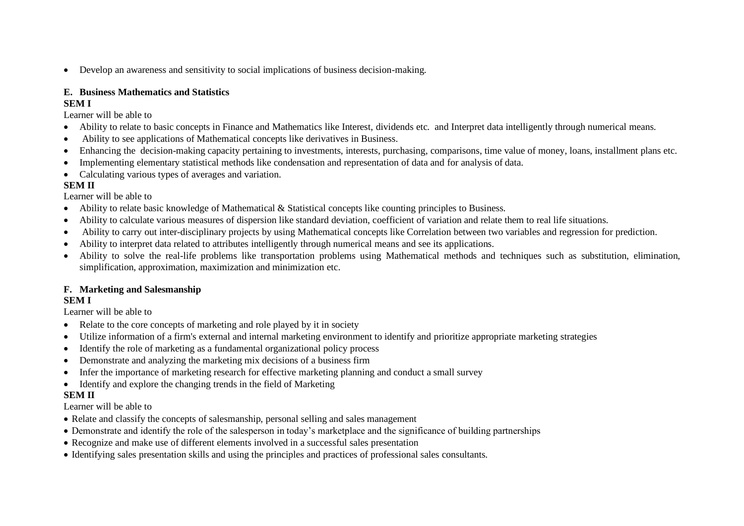• Develop an awareness and sensitivity to social implications of business decision-making.

## **E. Business Mathematics and Statistics**

#### **SEM I**

Learner will be able to

- Ability to relate to basic concepts in Finance and Mathematics like Interest, dividends etc. and Interpret data intelligently through numerical means.
- Ability to see applications of Mathematical concepts like derivatives in Business.
- Enhancing the decision-making capacity pertaining to investments, interests, purchasing, comparisons, time value of money, loans, installment plans etc.
- Implementing elementary statistical methods like condensation and representation of data and for analysis of data.
- Calculating various types of averages and variation.

#### **SEM II**

Learner will be able to

- Ability to relate basic knowledge of Mathematical & Statistical concepts like counting principles to Business.
- Ability to calculate various measures of dispersion like standard deviation, coefficient of variation and relate them to real life situations.
- Ability to carry out inter-disciplinary projects by using Mathematical concepts like Correlation between two variables and regression for prediction.
- Ability to interpret data related to attributes intelligently through numerical means and see its applications.
- Ability to solve the real-life problems like transportation problems using Mathematical methods and techniques such as substitution, elimination, simplification, approximation, maximization and minimization etc.

### **F. Marketing and Salesmanship**

### **SEM I**

Learner will be able to

- Relate to the core concepts of marketing and role played by it in society
- Utilize information of a firm's external and internal marketing environment to identify and prioritize appropriate marketing strategies
- Identify the role of marketing as a fundamental organizational policy process
- Demonstrate and analyzing the marketing mix decisions of a business firm
- Infer the importance of marketing research for effective marketing planning and conduct a small survey
- Identify and explore the changing trends in the field of Marketing

### **SEM II**

- Relate and classify the concepts of salesmanship, personal selling and sales management
- Demonstrate and identify the role of the salesperson in today's marketplace and the significance of building partnerships
- Recognize and make use of different elements involved in a successful sales presentation
- Identifying sales presentation skills and using the principles and practices of professional sales consultants.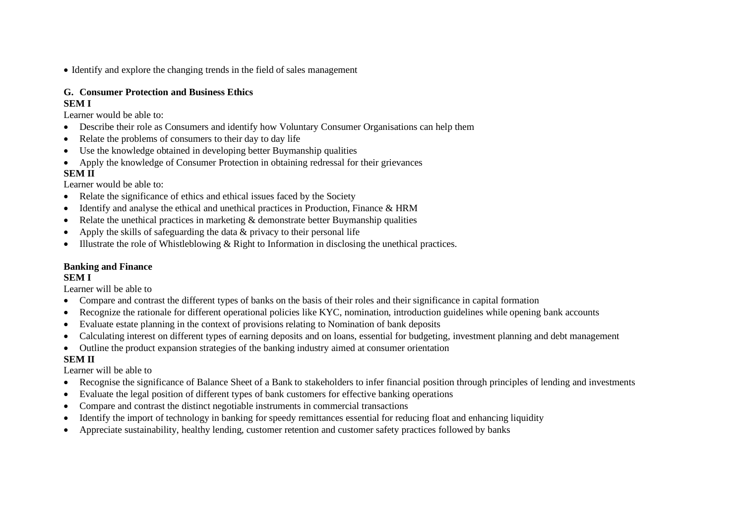• Identify and explore the changing trends in the field of sales management

# **G. Consumer Protection and Business Ethics**

#### **SEM I**

Learner would be able to:

- Describe their role as Consumers and identify how Voluntary Consumer Organisations can help them
- Relate the problems of consumers to their day to day life
- Use the knowledge obtained in developing better Buymanship qualities
- Apply the knowledge of Consumer Protection in obtaining redressal for their grievances

#### **SEM II**

Learner would be able to:

- Relate the significance of ethics and ethical issues faced by the Society
- Identify and analyse the ethical and unethical practices in Production, Finance & HRM
- Relate the unethical practices in marketing  $\&$  demonstrate better Buymanship qualities
- Apply the skills of safeguarding the data  $&$  privacy to their personal life
- Illustrate the role of Whistleblowing & Right to Information in disclosing the unethical practices.

### **Banking and Finance**

#### **SEM I**

Learner will be able to

- Compare and contrast the different types of banks on the basis of their roles and their significance in capital formation
- Recognize the rationale for different operational policies like KYC, nomination, introduction guidelines while opening bank accounts
- Evaluate estate planning in the context of provisions relating to Nomination of bank deposits
- Calculating interest on different types of earning deposits and on loans, essential for budgeting, investment planning and debt management
- Outline the product expansion strategies of the banking industry aimed at consumer orientation

## **SEM II**

- Recognise the significance of Balance Sheet of a Bank to stakeholders to infer financial position through principles of lending and investments
- Evaluate the legal position of different types of bank customers for effective banking operations
- Compare and contrast the distinct negotiable instruments in commercial transactions
- Identify the import of technology in banking for speedy remittances essential for reducing float and enhancing liquidity
- Appreciate sustainability, healthy lending, customer retention and customer safety practices followed by banks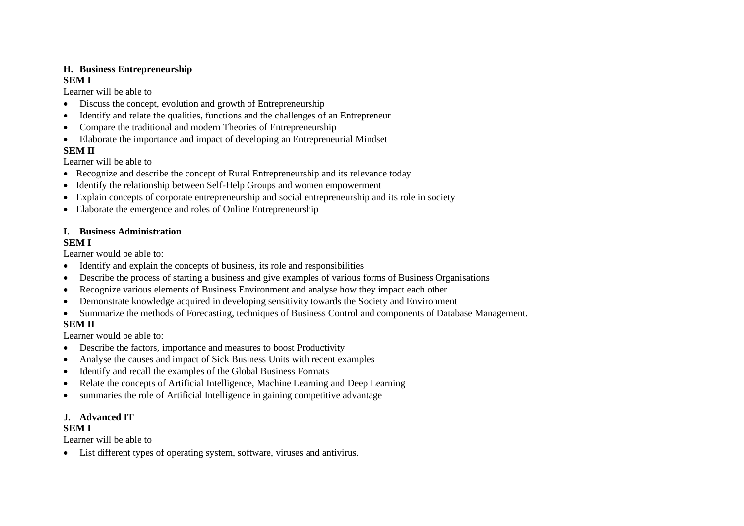#### **H. Business Entrepreneurship SEM I**

Learner will be able to

- Discuss the concept, evolution and growth of Entrepreneurship
- Identify and relate the qualities, functions and the challenges of an Entrepreneur
- Compare the traditional and modern Theories of Entrepreneurship
- Elaborate the importance and impact of developing an Entrepreneurial Mindset

#### **SEM II**

Learner will be able to

- Recognize and describe the concept of Rural Entrepreneurship and its relevance today
- Identify the relationship between Self-Help Groups and women empowerment
- Explain concepts of corporate entrepreneurship and social entrepreneurship and its role in society
- Elaborate the emergence and roles of Online Entrepreneurship

#### **I. Business Administration**

#### **SEM I**

Learner would be able to:

- Identify and explain the concepts of business, its role and responsibilities
- Describe the process of starting a business and give examples of various forms of Business Organisations
- Recognize various elements of Business Environment and analyse how they impact each other
- Demonstrate knowledge acquired in developing sensitivity towards the Society and Environment
- Summarize the methods of Forecasting, techniques of Business Control and components of Database Management.

### **SEM II**

Learner would be able to:

- Describe the factors, importance and measures to boost Productivity
- Analyse the causes and impact of Sick Business Units with recent examples
- Identify and recall the examples of the Global Business Formats
- Relate the concepts of Artificial Intelligence, Machine Learning and Deep Learning
- summaries the role of Artificial Intelligence in gaining competitive advantage

#### **J. Advanced IT**

#### **SEM I**

Learner will be able to

• List different types of operating system, software, viruses and antivirus.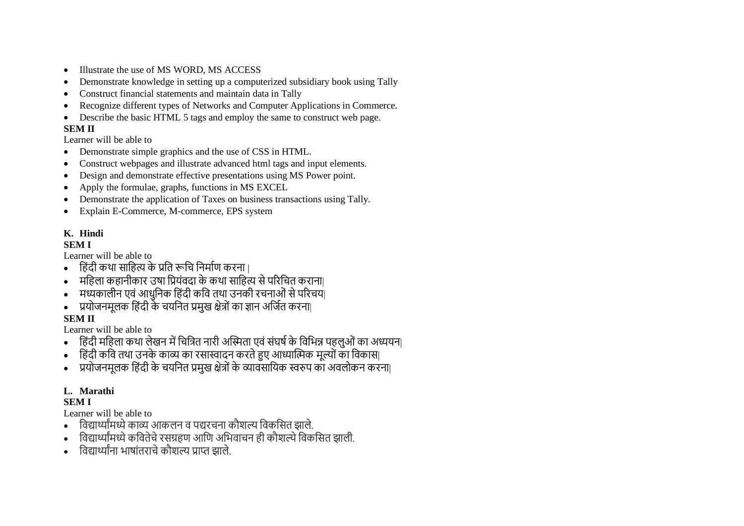- Illustrate the use of MS WORD, MS ACCESS
- Demonstrate knowledge in setting up a computerized subsidiary book using Tally
- Construct financial statements and maintain data in Tally
- Recognize different types of Networks and Computer Applications in Commerce.
- Describe the basic HTML 5 tags and employ the same to construct web page.

#### **SEM II**

#### Learner will be able to

- Demonstrate simple graphics and the use of CSS in HTML.
- Construct webpages and illustrate advanced html tags and input elements.
- Design and demonstrate effective presentations using MS Power point.
- Apply the formulae, graphs, functions in MS EXCEL
- Demonstrate the application of Taxes on business transactions using Tally.
- Explain E-Commerce, M-commerce, EPS system

## **K. Hindi**

### **SEM I**

Learner will be able to

- हिंदी कथा साहित्य के प्रति रूचि निर्माण करना
- महिला कहानीकार उषा प्रियंवदा के कथा साहित्य से परिचित कराना|
- <u>। मध्यकालीन एवं आधुनिक हिंदी कवि तथा उनकी रचनाओं से परिचयां</u>
- प्रयोजनमूलक हिंदी के चयनित प्रमुख क्षेत्रों का ज्ञान अर्जित करना|

## **SEM II**

Learner will be able to

- हिंदी महिला कथा लेखन में चित्रित नारी अस्मिता एवं संघर्ष के विभिन्न पहलुओं का अध्ययन|
- हिंदी कवि तथा उनके काव्यू का रसास्वादन करते हुए आध्यात्मिक मूल्यों का विकास|
- प्रयोजनमूलक हिंदी के चयनित प्रमुख क्षेत्रों के व्यावसायिक स्वरुप का अवलोकन करना|

## **L. Marathi**

## **SEM I**

- <u>विद्यार्थ्यांमध्ये काव्य आकलन व पद्यरचना कौशल्य विकसित झाले.</u>
- विद्यार्थ्यांमध्ये कवितेचे रसग्रहण आणि अभिवाचन ही कौशल्ये विकसित झाली.
- विद्यार्थ्यांना भाषांतराचे कौशल्य प्राप्त झाले.